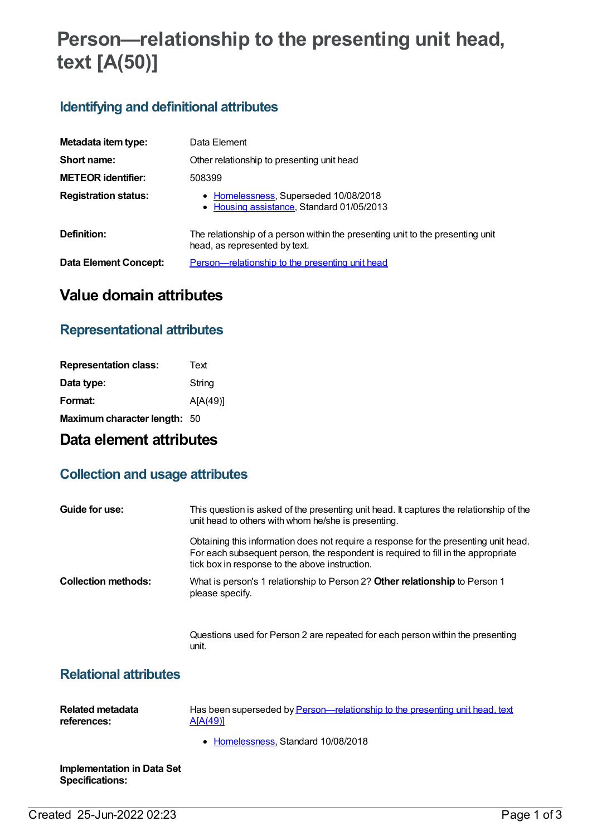# **Person—relationship to the presenting unit head, text [A(50)]**

# **Identifying and definitional attributes**

| Metadata item type:         | Data Element                                                                                                    |
|-----------------------------|-----------------------------------------------------------------------------------------------------------------|
| Short name:                 | Other relationship to presenting unit head                                                                      |
| <b>METEOR identifier:</b>   | 508399                                                                                                          |
| <b>Registration status:</b> | • Homelessness, Superseded 10/08/2018<br>• Housing assistance, Standard 01/05/2013                              |
| Definition:                 | The relationship of a person within the presenting unit to the presenting unit<br>head, as represented by text. |
| Data Element Concept:       | Person—relationship to the presenting unit head                                                                 |

# **Value domain attributes**

### **Representational attributes**

| <b>Representation class:</b> | Text     |
|------------------------------|----------|
| Data type:                   | String   |
| Format:                      | A[A(49)] |
| Maximum character length: 50 |          |

## **Data element attributes**

### **Collection and usage attributes**

| Guide for use:             | This question is asked of the presenting unit head. It captures the relationship of the<br>unit head to others with whom he/she is presenting.                                                                              |
|----------------------------|-----------------------------------------------------------------------------------------------------------------------------------------------------------------------------------------------------------------------------|
|                            | Obtaining this information does not require a response for the presenting unit head.<br>For each subsequent person, the respondent is required to fill in the appropriate<br>tick box in response to the above instruction. |
| <b>Collection methods:</b> | What is person's 1 relationship to Person 2? Other relationship to Person 1<br>please specify.                                                                                                                              |
|                            | Questions used for Person 2 are repeated for each person within the presenting                                                                                                                                              |

#### unit.

### **Relational attributes**

| Related metadata | Has been superseded by Person—relationship to the presenting unit head, text |
|------------------|------------------------------------------------------------------------------|
| references:      | A[A(49)]                                                                     |
|                  | • Homelessness, Standard 10/08/2018                                          |

**Implementation in Data Set Specifications:**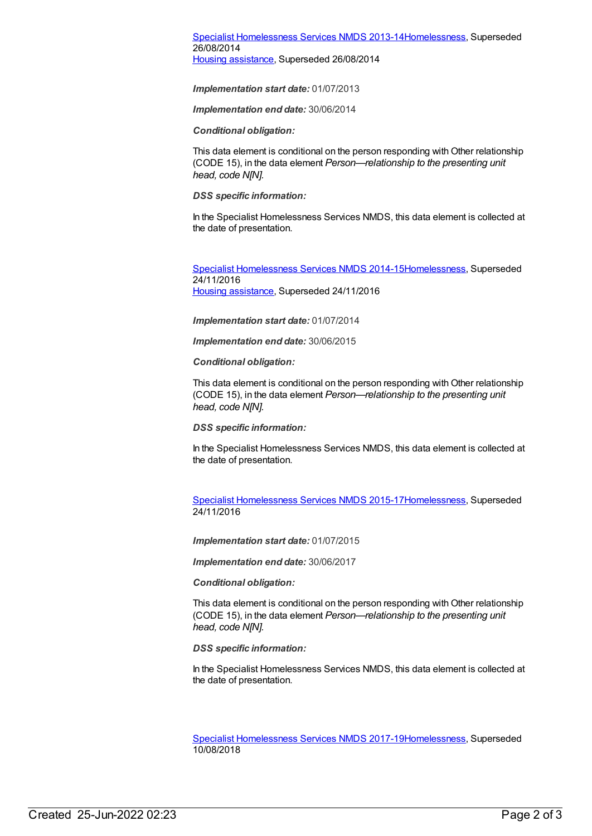#### Specialist [Homelessness](https://meteor.aihw.gov.au/content/505626) Services NMDS 2013-1[4Homelessness](https://meteor.aihw.gov.au/RegistrationAuthority/14), Superseded 26/08/2014 Housing [assistance](https://meteor.aihw.gov.au/RegistrationAuthority/11), Superseded 26/08/2014

*Implementation start date:* 01/07/2013

*Implementation end date:* 30/06/2014

*Conditional obligation:*

This data element is conditional on the person responding with Other relationship (CODE 15), in the data element *Person—relationship to the presenting unit head, code N[N].*

*DSS specific information:*

In the Specialist Homelessness Services NMDS, this data element is collected at the date of presentation.

Specialist [Homelessness](https://meteor.aihw.gov.au/content/581255) Services NMDS 2014-1[5Homelessness](https://meteor.aihw.gov.au/RegistrationAuthority/14), Superseded 24/11/2016 Housing [assistance](https://meteor.aihw.gov.au/RegistrationAuthority/11), Superseded 24/11/2016

*Implementation start date:* 01/07/2014

*Implementation end date:* 30/06/2015

*Conditional obligation:*

This data element is conditional on the person responding with Other relationship (CODE 15), in the data element *Person—relationship to the presenting unit head, code N[N].*

*DSS specific information:*

In the Specialist Homelessness Services NMDS, this data element is collected at the date of presentation.

Specialist [Homelessness](https://meteor.aihw.gov.au/content/658005) Services NMDS 2015-1[7Homelessness](https://meteor.aihw.gov.au/RegistrationAuthority/14), Superseded 24/11/2016

*Implementation start date:* 01/07/2015

*Implementation end date:* 30/06/2017

*Conditional obligation:*

This data element is conditional on the person responding with Other relationship (CODE 15), in the data element *Person—relationship to the presenting unit head, code N[N].*

*DSS specific information:*

In the Specialist Homelessness Services NMDS, this data element is collected at the date of presentation.

Specialist [Homelessness](https://meteor.aihw.gov.au/content/650006) Services NMDS 2017-1[9Homelessness](https://meteor.aihw.gov.au/RegistrationAuthority/14), Superseded 10/08/2018